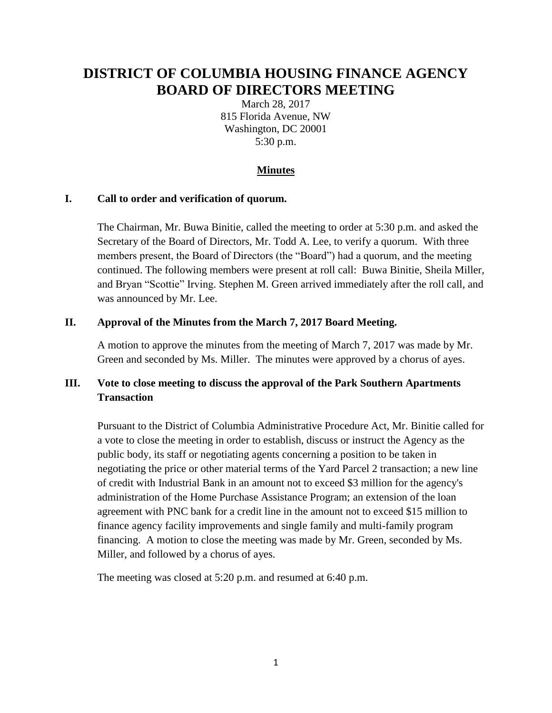# **DISTRICT OF COLUMBIA HOUSING FINANCE AGENCY BOARD OF DIRECTORS MEETING**

March 28, 2017 815 Florida Avenue, NW Washington, DC 20001 5:30 p.m.

#### **Minutes**

#### **I. Call to order and verification of quorum.**

The Chairman, Mr. Buwa Binitie, called the meeting to order at 5:30 p.m. and asked the Secretary of the Board of Directors, Mr. Todd A. Lee, to verify a quorum. With three members present, the Board of Directors (the "Board") had a quorum, and the meeting continued. The following members were present at roll call: Buwa Binitie, Sheila Miller, and Bryan "Scottie" Irving. Stephen M. Green arrived immediately after the roll call, and was announced by Mr. Lee.

#### **II. Approval of the Minutes from the March 7, 2017 Board Meeting.**

A motion to approve the minutes from the meeting of March 7, 2017 was made by Mr. Green and seconded by Ms. Miller. The minutes were approved by a chorus of ayes.

## **III. Vote to close meeting to discuss the approval of the Park Southern Apartments Transaction**

Pursuant to the District of Columbia Administrative Procedure Act, Mr. Binitie called for a vote to close the meeting in order to establish, discuss or instruct the Agency as the public body, its staff or negotiating agents concerning a position to be taken in negotiating the price or other material terms of the Yard Parcel 2 transaction; a new line of credit with Industrial Bank in an amount not to exceed \$3 million for the agency's administration of the Home Purchase Assistance Program; an extension of the loan agreement with PNC bank for a credit line in the amount not to exceed \$15 million to finance agency facility improvements and single family and multi-family program financing. A motion to close the meeting was made by Mr. Green, seconded by Ms. Miller, and followed by a chorus of ayes.

The meeting was closed at 5:20 p.m. and resumed at 6:40 p.m.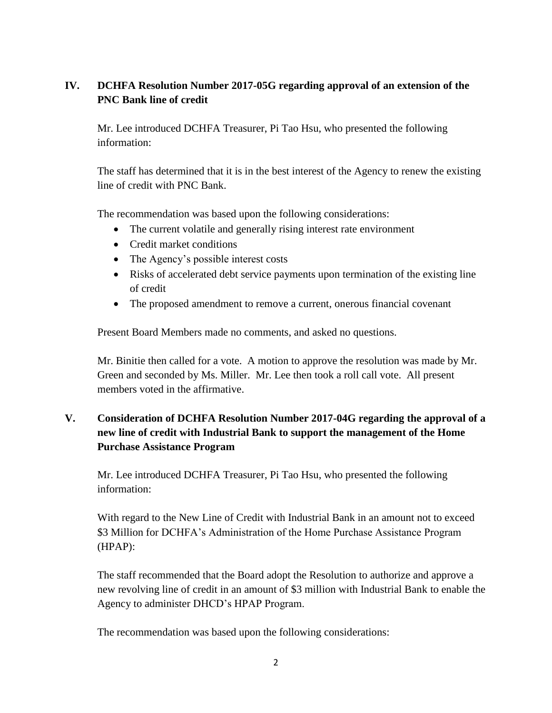## **IV. DCHFA Resolution Number 2017-05G regarding approval of an extension of the PNC Bank line of credit**

Mr. Lee introduced DCHFA Treasurer, Pi Tao Hsu, who presented the following information:

The staff has determined that it is in the best interest of the Agency to renew the existing line of credit with PNC Bank.

The recommendation was based upon the following considerations:

- The current volatile and generally rising interest rate environment
- Credit market conditions
- The Agency's possible interest costs
- Risks of accelerated debt service payments upon termination of the existing line of credit
- The proposed amendment to remove a current, onerous financial covenant

Present Board Members made no comments, and asked no questions.

Mr. Binitie then called for a vote. A motion to approve the resolution was made by Mr. Green and seconded by Ms. Miller. Mr. Lee then took a roll call vote. All present members voted in the affirmative.

# **V. Consideration of DCHFA Resolution Number 2017-04G regarding the approval of a new line of credit with Industrial Bank to support the management of the Home Purchase Assistance Program**

Mr. Lee introduced DCHFA Treasurer, Pi Tao Hsu, who presented the following information:

With regard to the New Line of Credit with Industrial Bank in an amount not to exceed \$3 Million for DCHFA's Administration of the Home Purchase Assistance Program (HPAP):

The staff recommended that the Board adopt the Resolution to authorize and approve a new revolving line of credit in an amount of \$3 million with Industrial Bank to enable the Agency to administer DHCD's HPAP Program.

The recommendation was based upon the following considerations: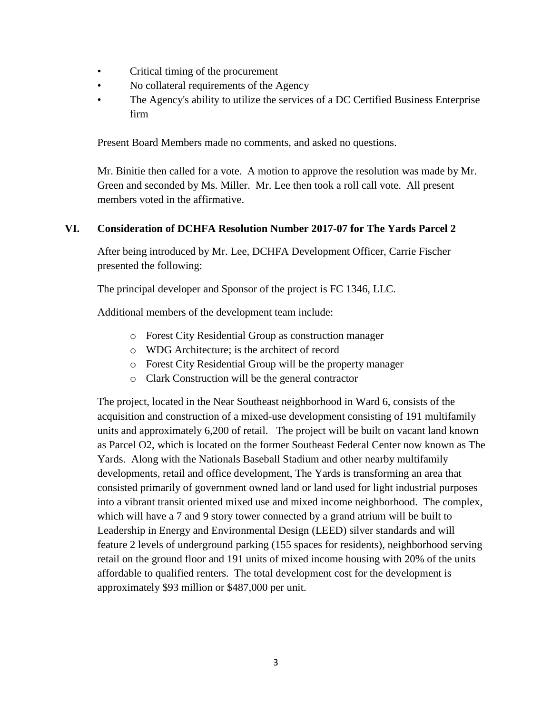- Critical timing of the procurement
- No collateral requirements of the Agency
- The Agency's ability to utilize the services of a DC Certified Business Enterprise firm

Present Board Members made no comments, and asked no questions.

Mr. Binitie then called for a vote. A motion to approve the resolution was made by Mr. Green and seconded by Ms. Miller. Mr. Lee then took a roll call vote. All present members voted in the affirmative.

### **VI. Consideration of DCHFA Resolution Number 2017-07 for The Yards Parcel 2**

After being introduced by Mr. Lee, DCHFA Development Officer, Carrie Fischer presented the following:

The principal developer and Sponsor of the project is FC 1346, LLC.

Additional members of the development team include:

- o Forest City Residential Group as construction manager
- o WDG Architecture; is the architect of record
- o Forest City Residential Group will be the property manager
- o Clark Construction will be the general contractor

The project, located in the Near Southeast neighborhood in Ward 6, consists of the acquisition and construction of a mixed-use development consisting of 191 multifamily units and approximately 6,200 of retail. The project will be built on vacant land known as Parcel O2, which is located on the former Southeast Federal Center now known as The Yards. Along with the Nationals Baseball Stadium and other nearby multifamily developments, retail and office development, The Yards is transforming an area that consisted primarily of government owned land or land used for light industrial purposes into a vibrant transit oriented mixed use and mixed income neighborhood. The complex, which will have a 7 and 9 story tower connected by a grand atrium will be built to Leadership in Energy and Environmental Design (LEED) silver standards and will feature 2 levels of underground parking (155 spaces for residents), neighborhood serving retail on the ground floor and 191 units of mixed income housing with 20% of the units affordable to qualified renters. The total development cost for the development is approximately \$93 million or \$487,000 per unit.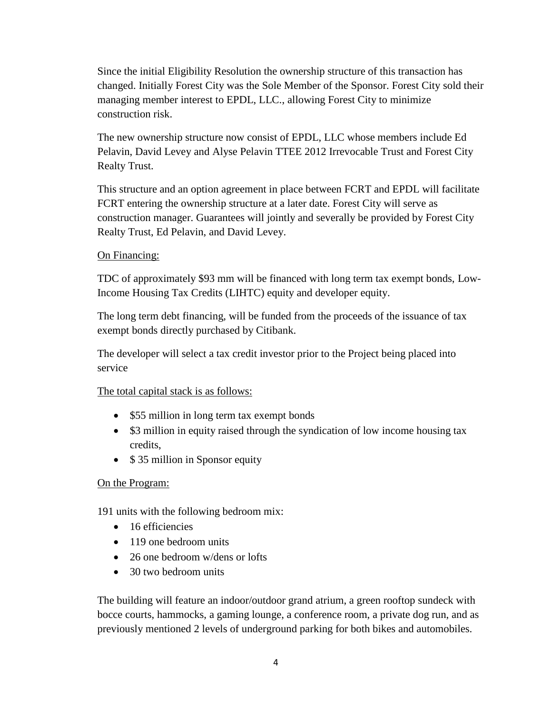Since the initial Eligibility Resolution the ownership structure of this transaction has changed. Initially Forest City was the Sole Member of the Sponsor. Forest City sold their managing member interest to EPDL, LLC., allowing Forest City to minimize construction risk.

The new ownership structure now consist of EPDL, LLC whose members include Ed Pelavin, David Levey and Alyse Pelavin TTEE 2012 Irrevocable Trust and Forest City Realty Trust.

This structure and an option agreement in place between FCRT and EPDL will facilitate FCRT entering the ownership structure at a later date. Forest City will serve as construction manager. Guarantees will jointly and severally be provided by Forest City Realty Trust, Ed Pelavin, and David Levey.

### On Financing:

TDC of approximately \$93 mm will be financed with long term tax exempt bonds, Low-Income Housing Tax Credits (LIHTC) equity and developer equity.

The long term debt financing, will be funded from the proceeds of the issuance of tax exempt bonds directly purchased by Citibank.

The developer will select a tax credit investor prior to the Project being placed into service

### The total capital stack is as follows:

- \$55 million in long term tax exempt bonds
- \$3 million in equity raised through the syndication of low income housing tax credits,
- \$35 million in Sponsor equity

### On the Program:

191 units with the following bedroom mix:

- 16 efficiencies
- 119 one bedroom units
- 26 one bedroom w/dens or lofts
- 30 two bedroom units

The building will feature an indoor/outdoor grand atrium, a green rooftop sundeck with bocce courts, hammocks, a gaming lounge, a conference room, a private dog run, and as previously mentioned 2 levels of underground parking for both bikes and automobiles.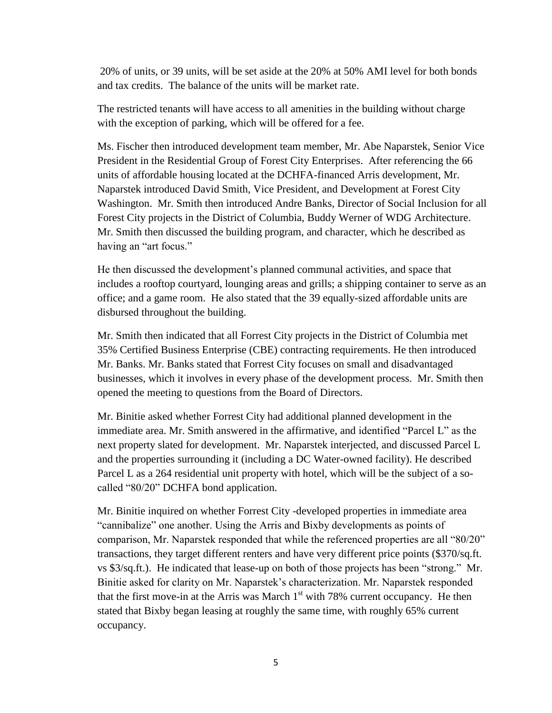20% of units, or 39 units, will be set aside at the 20% at 50% AMI level for both bonds and tax credits. The balance of the units will be market rate.

The restricted tenants will have access to all amenities in the building without charge with the exception of parking, which will be offered for a fee.

Ms. Fischer then introduced development team member, Mr. Abe Naparstek, Senior Vice President in the Residential Group of Forest City Enterprises. After referencing the 66 units of affordable housing located at the DCHFA-financed Arris development, Mr. Naparstek introduced David Smith, Vice President, and Development at Forest City Washington. Mr. Smith then introduced Andre Banks, Director of Social Inclusion for all Forest City projects in the District of Columbia, Buddy Werner of WDG Architecture. Mr. Smith then discussed the building program, and character, which he described as having an "art focus."

He then discussed the development's planned communal activities, and space that includes a rooftop courtyard, lounging areas and grills; a shipping container to serve as an office; and a game room. He also stated that the 39 equally-sized affordable units are disbursed throughout the building.

Mr. Smith then indicated that all Forrest City projects in the District of Columbia met 35% Certified Business Enterprise (CBE) contracting requirements. He then introduced Mr. Banks. Mr. Banks stated that Forrest City focuses on small and disadvantaged businesses, which it involves in every phase of the development process. Mr. Smith then opened the meeting to questions from the Board of Directors.

Mr. Binitie asked whether Forrest City had additional planned development in the immediate area. Mr. Smith answered in the affirmative, and identified "Parcel L" as the next property slated for development. Mr. Naparstek interjected, and discussed Parcel L and the properties surrounding it (including a DC Water-owned facility). He described Parcel L as a 264 residential unit property with hotel, which will be the subject of a socalled "80/20" DCHFA bond application.

Mr. Binitie inquired on whether Forrest City -developed properties in immediate area "cannibalize" one another. Using the Arris and Bixby developments as points of comparison, Mr. Naparstek responded that while the referenced properties are all "80/20" transactions, they target different renters and have very different price points (\$370/sq.ft. vs \$3/sq.ft.). He indicated that lease-up on both of those projects has been "strong." Mr. Binitie asked for clarity on Mr. Naparstek's characterization. Mr. Naparstek responded that the first move-in at the Arris was March  $1<sup>st</sup>$  with 78% current occupancy. He then stated that Bixby began leasing at roughly the same time, with roughly 65% current occupancy.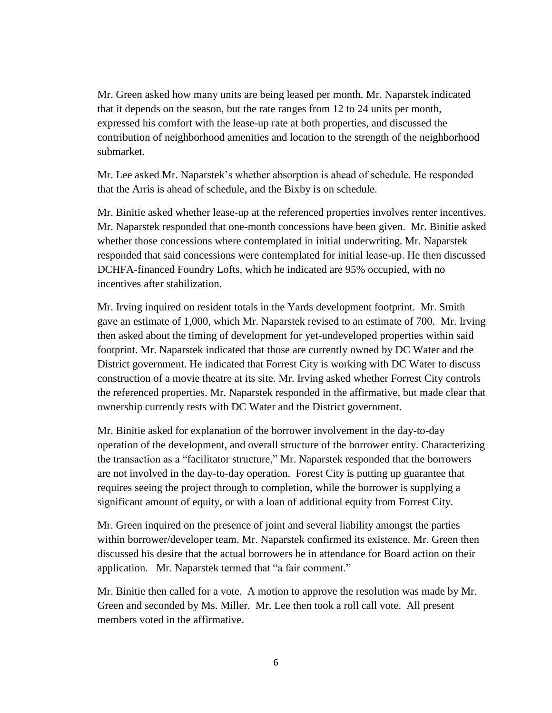Mr. Green asked how many units are being leased per month. Mr. Naparstek indicated that it depends on the season, but the rate ranges from 12 to 24 units per month, expressed his comfort with the lease-up rate at both properties, and discussed the contribution of neighborhood amenities and location to the strength of the neighborhood submarket.

Mr. Lee asked Mr. Naparstek's whether absorption is ahead of schedule. He responded that the Arris is ahead of schedule, and the Bixby is on schedule.

Mr. Binitie asked whether lease-up at the referenced properties involves renter incentives. Mr. Naparstek responded that one-month concessions have been given. Mr. Binitie asked whether those concessions where contemplated in initial underwriting. Mr. Naparstek responded that said concessions were contemplated for initial lease-up. He then discussed DCHFA-financed Foundry Lofts, which he indicated are 95% occupied, with no incentives after stabilization.

Mr. Irving inquired on resident totals in the Yards development footprint. Mr. Smith gave an estimate of 1,000, which Mr. Naparstek revised to an estimate of 700. Mr. Irving then asked about the timing of development for yet-undeveloped properties within said footprint. Mr. Naparstek indicated that those are currently owned by DC Water and the District government. He indicated that Forrest City is working with DC Water to discuss construction of a movie theatre at its site. Mr. Irving asked whether Forrest City controls the referenced properties. Mr. Naparstek responded in the affirmative, but made clear that ownership currently rests with DC Water and the District government.

Mr. Binitie asked for explanation of the borrower involvement in the day-to-day operation of the development, and overall structure of the borrower entity. Characterizing the transaction as a "facilitator structure," Mr. Naparstek responded that the borrowers are not involved in the day-to-day operation. Forest City is putting up guarantee that requires seeing the project through to completion, while the borrower is supplying a significant amount of equity, or with a loan of additional equity from Forrest City.

Mr. Green inquired on the presence of joint and several liability amongst the parties within borrower/developer team. Mr. Naparstek confirmed its existence. Mr. Green then discussed his desire that the actual borrowers be in attendance for Board action on their application. Mr. Naparstek termed that "a fair comment."

Mr. Binitie then called for a vote. A motion to approve the resolution was made by Mr. Green and seconded by Ms. Miller. Mr. Lee then took a roll call vote. All present members voted in the affirmative.